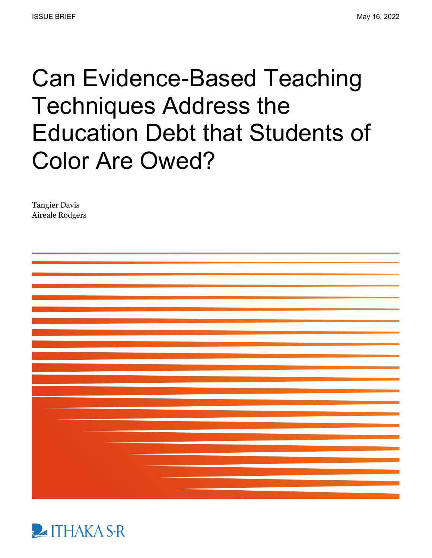# Can Evidence-Based Teaching Techniques Address the Education Debt that Students of Color Are Owed?

Tangier Davis Aireale Rodgers



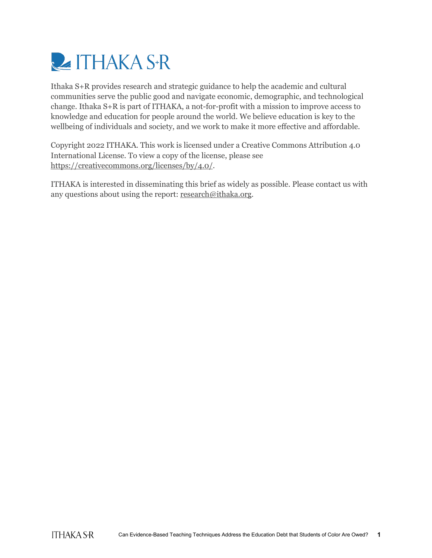

Ithaka S+R provides research and strategic guidance to help the academic and cultural communities serve the public good and navigate economic, demographic, and technological change. Ithaka S+R is part of ITHAKA, a not-for-profit with a mission to improve access to knowledge and education for people around the world. We believe education is key to the wellbeing of individuals and society, and we work to make it more effective and affordable.

Copyright 2022 ITHAKA. This work is licensed under a Creative Commons Attribution 4.0 International License. To view a copy of the license, please see [https://creativecommons.org/licenses/by/4.0/.](https://creativecommons.org/licenses/by/4.0/)

ITHAKA is interested in disseminating this brief as widely as possible. Please contact us with any questions about using the report[: research@ithaka.org.](mailto:research@ithaka.org)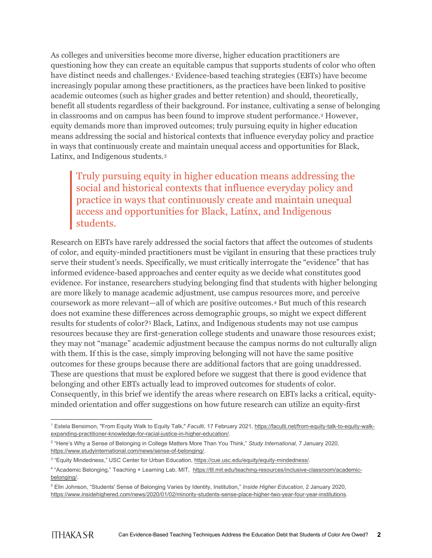As colleges and universities become more diverse, higher education practitioners are questioning how they can create an equitable campus that supports students of color who often have distinct needs and challenges.[1](#page-2-0) Evidence-based teaching strategies (EBTs) have become increasingly popular among these practitioners, as the practices have been linked to positive academic outcomes (such as higher grades and better retention) and should, theoretically, benefit all students regardless of their background. For instance, cultivating a sense of belonging in classrooms and on campus has been found to improve student performance.<sup>[2](#page-2-1)</sup> However, equity demands more than improved outcomes; truly pursuing equity in higher education means addressing the social and historical contexts that influence everyday policy and practice in ways that continuously create and maintain unequal access and opportunities for Black, Latinx, and Indigenous students.[3](#page-2-2)

#### Truly pursuing equity in higher education means addressing the social and historical contexts that influence everyday policy and practice in ways that continuously create and maintain unequal access and opportunities for Black, Latinx, and Indigenous students.

Research on EBTs have rarely addressed the social factors that affect the outcomes of students of color, and equity-minded practitioners must be vigilant in ensuring that these practices truly serve their student's needs. Specifically, we must critically interrogate the "evidence" that has informed evidence-based approaches and center equity as we decide what constitutes good evidence. For instance, researchers studying belonging find that students with higher belonging are more likely to manage academic adjustment, use campus resources more, and perceive coursework as more relevant—all of which are positive outcomes.[4](#page-2-3) But much of this research does not examine these differences across demographic groups, so might we expect different results for students of color?[5](#page-2-4) Black, Latinx, and Indigenous students may not use campus resources because they are first-generation college students and unaware those resources exist; they may not "manage" academic adjustment because the campus norms do not culturally align with them. If this is the case, simply improving belonging will not have the same positive outcomes for these groups because there are additional factors that are going unaddressed. These are questions that must be explored before we suggest that there is good evidence that belonging and other EBTs actually lead to improved outcomes for students of color. Consequently, in this brief we identify the areas where research on EBTs lacks a critical, equityminded orientation and offer suggestions on how future research can utilize an equity-first

<span id="page-2-0"></span><sup>1</sup> Estela Bensimon, "From Equity Walk to Equity Talk," *Faculti*, 17 February 2021, [https://faculti.net/from-equity-talk-to-equity-walk](https://faculti.net/from-equity-talk-to-equity-walk-expanding-practitioner-knowledge-for-racial-justice-in-higher-education/)[expanding-practitioner-knowledge-for-racial-justice-in-higher-education/.](https://faculti.net/from-equity-talk-to-equity-walk-expanding-practitioner-knowledge-for-racial-justice-in-higher-education/) 

<span id="page-2-1"></span><sup>2</sup> "Here's Why a Sense of Belonging in College Matters More Than You Think," *Study International*, 7 January 2020, [https://www.studyinternational.com/news/sense-of-belonging/.](https://www.studyinternational.com/news/sense-of-belonging/)

<span id="page-2-2"></span><sup>&</sup>lt;sup>3</sup> "Equity Mindedness," USC Center for Urban Education, https://cue.usc.edu/equity/equity-mindedness/.

<span id="page-2-3"></span><sup>4</sup> "Academic Belonging," Teaching + Learning Lab, MIT, [https://tll.mit.edu/teaching-resources/inclusive-classroom/academic](https://tll.mit.edu/teaching-resources/inclusive-classroom/academic-belonging/)[belonging/.](https://tll.mit.edu/teaching-resources/inclusive-classroom/academic-belonging/)

<span id="page-2-4"></span><sup>5</sup> Elin Johnson, "Students' Sense of Belonging Varies by Identity, Institution," *Inside Higher Education*, 2 January 2020, [https://www.insidehighered.com/news/2020/01/02/minority-students-sense-place-higher-two-year-four-year-institutions.](https://www.insidehighered.com/news/2020/01/02/minority-students-sense-place-higher-two-year-four-year-institutions)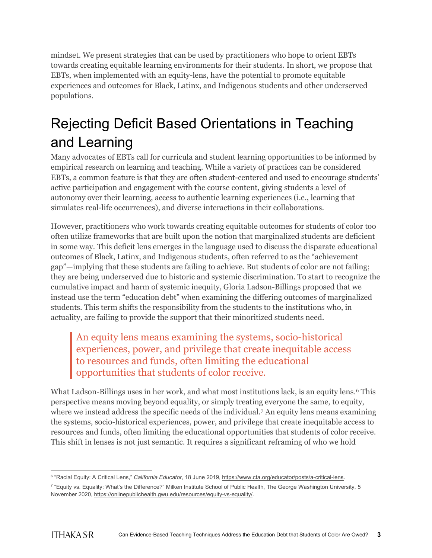mindset. We present strategies that can be used by practitioners who hope to orient EBTs towards creating equitable learning environments for their students. In short, we propose that EBTs, when implemented with an equity-lens, have the potential to promote equitable experiences and outcomes for Black, Latinx, and Indigenous students and other underserved populations.

# Rejecting Deficit Based Orientations in Teaching and Learning

Many advocates of EBTs call for curricula and student learning opportunities to be informed by empirical research on learning and teaching. While a variety of practices can be considered EBTs, a common feature is that they are often student-centered and used to encourage students' active participation and engagement with the course content, giving students a level of autonomy over their learning, access to authentic learning experiences (i.e., learning that simulates real-life occurrences), and diverse interactions in their collaborations.

However, practitioners who work towards creating equitable outcomes for students of color too often utilize frameworks that are built upon the notion that marginalized students are deficient in some way. This deficit lens emerges in the language used to discuss the disparate educational outcomes of Black, Latinx, and Indigenous students, often referred to as the "achievement gap"—implying that these students are failing to achieve. But students of color are not failing; they are being underserved due to historic and systemic discrimination. To start to recognize the cumulative impact and harm of systemic inequity, Gloria Ladson-Billings proposed that we instead use the term "education debt" when examining the differing outcomes of marginalized students. This term shifts the responsibility from the students to the institutions who, in actuality, are failing to provide the support that their minoritized students need.

An equity lens means examining the systems, socio-historical experiences, power, and privilege that create inequitable access to resources and funds, often limiting the educational opportunities that students of color receive.

What Ladson-Billings uses in her work, and what most institutions lack, is an equity lens.<sup>[6](#page-3-0)</sup> This perspective means moving beyond equality, or simply treating everyone the same, to equity, where we instead address the specific needs of the individual.[7](#page-3-1) An equity lens means examining the systems, socio-historical experiences, power, and privilege that create inequitable access to resources and funds, often limiting the educational opportunities that students of color receive. This shift in lenses is not just semantic. It requires a significant reframing of who we hold

<span id="page-3-0"></span><sup>&</sup>lt;sup>6</sup> "Racial Equity: A Critical Lens," *California Educator*, 18 June 2019, [https://www.cta.org/educator/posts/a-critical-lens.](https://www.cta.org/educator/posts/a-critical-lens)

<span id="page-3-1"></span><sup>7</sup> "Equity vs. Equality: What's the Difference?" Milken Institute School of Public Health, The George Washington University, 5 November 2020[, https://onlinepublichealth.gwu.edu/resources/equity-vs-equality/.](https://onlinepublichealth.gwu.edu/resources/equity-vs-equality/)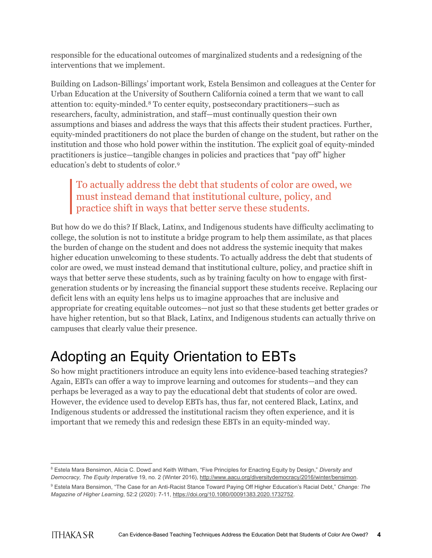responsible for the educational outcomes of marginalized students and a redesigning of the interventions that we implement.

Building on Ladson-Billings' important work, Estela Bensimon and colleagues at the Center for Urban Education at the University of Southern California coined a term that we want to call attention to: equity-minded.[8](#page-4-0) To center equity, postsecondary practitioners—such as researchers, faculty, administration, and staff—must continually question their own assumptions and biases and address the ways that this affects their student practices. Further, equity-minded practitioners do not place the burden of change on the student, but rather on the institution and those who hold power within the institution. The explicit goal of equity-minded practitioners is justice—tangible changes in policies and practices that "pay off" higher education's debt to students of color.[9](#page-4-1) 

#### To actually address the debt that students of color are owed, we must instead demand that institutional culture, policy, and practice shift in ways that better serve these students.

But how do we do this? If Black, Latinx, and Indigenous students have difficulty acclimating to college, the solution is not to institute a bridge program to help them assimilate, as that places the burden of change on the student and does not address the systemic inequity that makes higher education unwelcoming to these students. To actually address the debt that students of color are owed, we must instead demand that institutional culture, policy, and practice shift in ways that better serve these students, such as by training faculty on how to engage with firstgeneration students or by increasing the financial support these students receive. Replacing our deficit lens with an equity lens helps us to imagine approaches that are inclusive and appropriate for creating equitable outcomes—not just so that these students get better grades or have higher retention, but so that Black, Latinx, and Indigenous students can actually thrive on campuses that clearly value their presence.

## Adopting an Equity Orientation to EBTs

So how might practitioners introduce an equity lens into evidence-based teaching strategies? Again, EBTs can offer a way to improve learning and outcomes for students—and they can perhaps be leveraged as a way to pay the educational debt that students of color are owed. However, the evidence used to develop EBTs has, thus far, not centered Black, Latinx, and Indigenous students or addressed the institutional racism they often experience, and it is important that we remedy this and redesign these EBTs in an equity-minded way.

<span id="page-4-0"></span><sup>8</sup> Estela Mara Bensimon, Alicia C. Dowd and Keith Witham, "Five Principles for Enacting Equity by Design," *Diversity and Democracy, The Equity Imperative* 19, no. 2 (Winter 2016)[, http://www.aacu.org/diversitydemocracy/2016/winter/bensimon.](http://www.aacu.org/diversitydemocracy/2016/winter/bensimon)

<span id="page-4-1"></span><sup>9</sup> Estela Mara Bensimon, "The Case for an Anti-Racist Stance Toward Paying Off Higher Education's Racial Debt," *Change: The Magazine of Higher Learning*, 52:2 (2020): 7-11, [https://doi.org/10.1080/00091383.2020.1732752.](https://doi.org/10.1080/00091383.2020.1732752)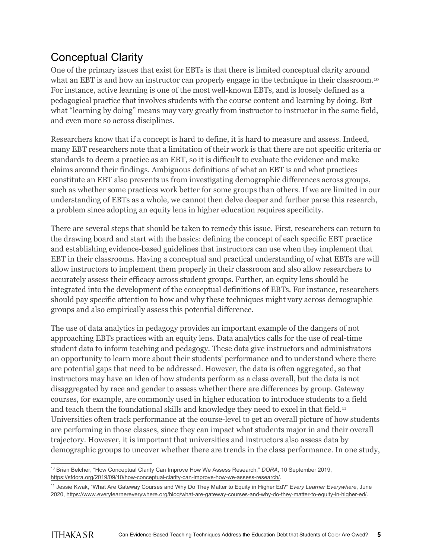## Conceptual Clarity

One of the primary issues that exist for EBTs is that there is limited conceptual clarity around what an EBT is and how an instructor can properly engage in the technique in their classroom.<sup>[10](#page-5-0)</sup> For instance, active learning is one of the most well-known EBTs, and is loosely defined as a pedagogical practice that involves students with the course content and learning by doing. But what "learning by doing" means may vary greatly from instructor to instructor in the same field, and even more so across disciplines.

Researchers know that if a concept is hard to define, it is hard to measure and assess. Indeed, many EBT researchers note that a limitation of their work is that there are not specific criteria or standards to deem a practice as an EBT, so it is difficult to evaluate the evidence and make claims around their findings. Ambiguous definitions of what an EBT is and what practices constitute an EBT also prevents us from investigating demographic differences across groups, such as whether some practices work better for some groups than others. If we are limited in our understanding of EBTs as a whole, we cannot then delve deeper and further parse this research, a problem since adopting an equity lens in higher education requires specificity.

There are several steps that should be taken to remedy this issue. First, researchers can return to the drawing board and start with the basics: defining the concept of each specific EBT practice and establishing evidence-based guidelines that instructors can use when they implement that EBT in their classrooms. Having a conceptual and practical understanding of what EBTs are will allow instructors to implement them properly in their classroom and also allow researchers to accurately assess their efficacy across student groups. Further, an equity lens should be integrated into the development of the conceptual definitions of EBTs. For instance, researchers should pay specific attention to how and why these techniques might vary across demographic groups and also empirically assess this potential difference.

The use of data analytics in pedagogy provides an important example of the dangers of not approaching EBTs practices with an equity lens. Data analytics calls for the use of real-time student data to inform teaching and pedagogy. These data give instructors and administrators an opportunity to learn more about their students' performance and to understand where there are potential gaps that need to be addressed. However, the data is often aggregated, so that instructors may have an idea of how students perform as a class overall, but the data is not disaggregated by race and gender to assess whether there are differences by group. Gateway courses, for example, are commonly used in higher education to introduce students to a field and teach them the foundational skills and knowledge they need to excel in that field.<sup>[11](#page-5-1)</sup> Universities often track performance at the course-level to get an overall picture of how students are performing in those classes, since they can impact what students major in and their overall trajectory. However, it is important that universities and instructors also assess data by demographic groups to uncover whether there are trends in the class performance. In one study,

<span id="page-5-0"></span><sup>10</sup> Brian Belcher, "How Conceptual Clarity Can Improve How We Assess Research," *DORA*, 10 September 2019, [https://sfdora.org/2019/09/10/how-conceptual-clarity-can-improve-how-we-assess-research/.](https://sfdora.org/2019/09/10/how-conceptual-clarity-can-improve-how-we-assess-research/) 

<span id="page-5-1"></span><sup>11</sup> Jessie Kwak, "What Are Gateway Courses and Why Do They Matter to Equity in Higher Ed?" *Every Learner Everywhere*, June 2020[, https://www.everylearnereverywhere.org/blog/what-are-gateway-courses-and-why-do-they-matter-to-equity-in-higher-ed/.](https://www.everylearnereverywhere.org/blog/what-are-gateway-courses-and-why-do-they-matter-to-equity-in-higher-ed/)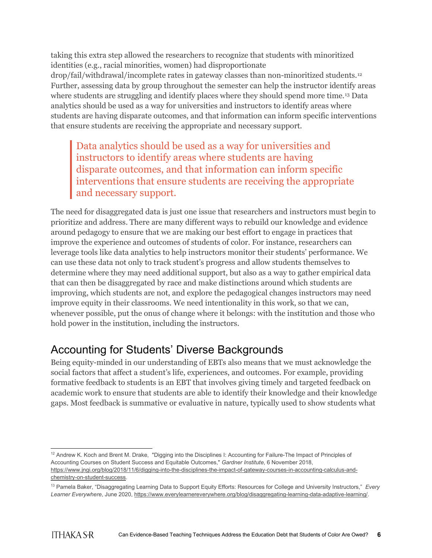taking this extra step allowed the researchers to recognize that students with minoritized identities (e.g., racial minorities, women) had disproportionate drop/fail/withdrawal/incomplete rates in gateway classes than non-minoritized students.[12](#page-6-0) Further, assessing data by group throughout the semester can help the instructor identify areas where students are struggling and identify places where they should spend more time.<sup>[13](#page-6-1)</sup> Data analytics should be used as a way for universities and instructors to identify areas where students are having disparate outcomes, and that information can inform specific interventions that ensure students are receiving the appropriate and necessary support.

Data analytics should be used as a way for universities and instructors to identify areas where students are having disparate outcomes, and that information can inform specific interventions that ensure students are receiving the appropriate and necessary support.

The need for disaggregated data is just one issue that researchers and instructors must begin to prioritize and address. There are many different ways to rebuild our knowledge and evidence around pedagogy to ensure that we are making our best effort to engage in practices that improve the experience and outcomes of students of color. For instance, researchers can leverage tools like data analytics to help instructors monitor their students' performance. We can use these data not only to track student's progress and allow students themselves to determine where they may need additional support, but also as a way to gather empirical data that can then be disaggregated by race and make distinctions around which students are improving, which students are not, and explore the pedagogical changes instructors may need improve equity in their classrooms. We need intentionality in this work, so that we can, whenever possible, put the onus of change where it belongs: with the institution and those who hold power in the institution, including the instructors.

### Accounting for Students' Diverse Backgrounds

Being equity-minded in our understanding of EBTs also means that we must acknowledge the social factors that affect a student's life, experiences, and outcomes. For example, providing formative feedback to students is an EBT that involves giving timely and targeted feedback on academic work to ensure that students are able to identify their knowledge and their knowledge gaps. Most feedback is summative or evaluative in nature, typically used to show students what

<span id="page-6-0"></span><sup>&</sup>lt;sup>12</sup> Andrew K. Koch and Brent M. Drake, "Digging into the Disciplines I: Accounting for Failure-The Impact of Principles of Accounting Courses on Student Success and Equitable Outcomes," *Gardner Institute*, 6 November 2018, [https://www.jngi.org/blog/2018/11/6/digging-into-the-disciplines-the-impact-of-gateway-courses-in-accounting-calculus-and](https://www.jngi.org/blog/2018/11/6/digging-into-the-disciplines-the-impact-of-gateway-courses-in-accounting-calculus-and-chemistry-on-student-success)[chemistry-on-student-success.](https://www.jngi.org/blog/2018/11/6/digging-into-the-disciplines-the-impact-of-gateway-courses-in-accounting-calculus-and-chemistry-on-student-success) 

<span id="page-6-1"></span><sup>13</sup> Pamela Baker, "Disaggregating Learning Data to Support Equity Efforts: Resources for College and University Instructors," *Every Learner Everywhere*, June 2020[, https://www.everylearnereverywhere.org/blog/disaggregating-learning-data-adaptive-learning/.](https://www.everylearnereverywhere.org/blog/disaggregating-learning-data-adaptive-learning/)